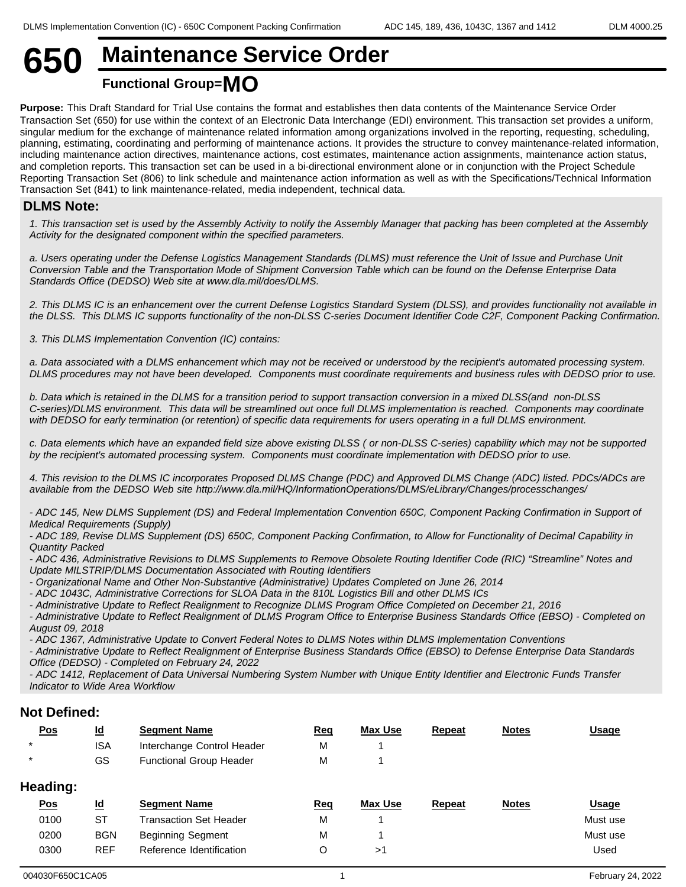# **650 Maintenance Service Order Functional Group=MO**

**Purpose:** This Draft Standard for Trial Use contains the format and establishes then data contents of the Maintenance Service Order Transaction Set (650) for use within the context of an Electronic Data Interchange (EDI) environment. This transaction set provides a uniform, singular medium for the exchange of maintenance related information among organizations involved in the reporting, requesting, scheduling, planning, estimating, coordinating and performing of maintenance actions. It provides the structure to convey maintenance-related information, including maintenance action directives, maintenance actions, cost estimates, maintenance action assignments, maintenance action status, and completion reports. This transaction set can be used in a bi-directional environment alone or in conjunction with the Project Schedule Reporting Transaction Set (806) to link schedule and maintenance action information as well as with the Specifications/Technical Information Transaction Set (841) to link maintenance-related, media independent, technical data.

### **DLMS Note:**

*1. This transaction set is used by the Assembly Activity to notify the Assembly Manager that packing has been completed at the Assembly Activity for the designated component within the specified parameters.*

*a. Users operating under the Defense Logistics Management Standards (DLMS) must reference the Unit of Issue and Purchase Unit Conversion Table and the Transportation Mode of Shipment Conversion Table which can be found on the Defense Enterprise Data Standards Office (DEDSO) Web site at www.dla.mil/does/DLMS.*

*2. This DLMS IC is an enhancement over the current Defense Logistics Standard System (DLSS), and provides functionality not available in the DLSS. This DLMS IC supports functionality of the non-DLSS C-series Document Identifier Code C2F, Component Packing Confirmation.*

*3. This DLMS Implementation Convention (IC) contains:*

*a. Data associated with a DLMS enhancement which may not be received or understood by the recipient's automated processing system. DLMS procedures may not have been developed. Components must coordinate requirements and business rules with DEDSO prior to use.*

*b. Data which is retained in the DLMS for a transition period to support transaction conversion in a mixed DLSS(and non-DLSS C-series)/DLMS environment. This data will be streamlined out once full DLMS implementation is reached. Components may coordinate* with DEDSO for early termination (or retention) of specific data requirements for users operating in a full DLMS environment.

*c. Data elements which have an expanded field size above existing DLSS ( or non-DLSS C-series) capability which may not be supported by the recipient's automated processing system. Components must coordinate implementation with DEDSO prior to use.*

*4. This revision to the DLMS IC incorporates Proposed DLMS Change (PDC) and Approved DLMS Change (ADC) listed. PDCs/ADCs are available from the DEDSO Web site http://www.dla.mil/HQ/InformationOperations/DLMS/eLibrary/Changes/processchanges/*

*- ADC 145, New DLMS Supplement (DS) and Federal Implementation Convention 650C, Component Packing Confirmation in Support of Medical Requirements (Supply)*

*- ADC 189, Revise DLMS Supplement (DS) 650C, Component Packing Confirmation, to Allow for Functionality of Decimal Capability in Quantity Packed*

*- ADC 436, Administrative Revisions to DLMS Supplements to Remove Obsolete Routing Identifier Code (RIC) "Streamline" Notes and Update MILSTRIP/DLMS Documentation Associated with Routing Identifiers*

*- Organizational Name and Other Non-Substantive (Administrative) Updates Completed on June 26, 2014*

*- ADC 1043C, Administrative Corrections for SLOA Data in the 810L Logistics Bill and other DLMS ICs*

*- Administrative Update to Reflect Realignment to Recognize DLMS Program Office Completed on December 21, 2016*

*- Administrative Update to Reflect Realignment of DLMS Program Office to Enterprise Business Standards Office (EBSO) - Completed on August 09, 2018*

*- ADC 1367, Administrative Update to Convert Federal Notes to DLMS Notes within DLMS Implementation Conventions*

*- Administrative Update to Reflect Realignment of Enterprise Business Standards Office (EBSO) to Defense Enterprise Data Standards Office (DEDSO) - Completed on February 24, 2022*

*- ADC 1412, Replacement of Data Universal Numbering System Number with Unique Entity Identifier and Electronic Funds Transfer Indicator to Wide Area Workflow*

#### **Not Defined:**

| <u>Pos</u> | $\underline{\mathsf{Id}}$ | <b>Segment Name</b>            | <u>Req</u> | Max Use | <b>Repeat</b> | <b>Notes</b> | <b>Usage</b> |
|------------|---------------------------|--------------------------------|------------|---------|---------------|--------------|--------------|
| $\star$    | <b>ISA</b>                | Interchange Control Header     | M          |         |               |              |              |
| $\star$    | GS                        | <b>Functional Group Header</b> | M          |         |               |              |              |
| Heading:   |                           |                                |            |         |               |              |              |
| Pos        | $\underline{\mathsf{Id}}$ |                                |            | Max Use |               |              |              |
|            |                           | <b>Segment Name</b>            | <u>Req</u> |         | <b>Repeat</b> | <b>Notes</b> | <b>Usage</b> |
| 0100       | <b>ST</b>                 | <b>Transaction Set Header</b>  | M          |         |               |              | Must use     |
| 0200       | <b>BGN</b>                | <b>Beginning Segment</b>       | M          |         |               |              | Must use     |
| 0300       | <b>REF</b>                | Reference Identification       | $\circ$    | >1      |               |              | Used         |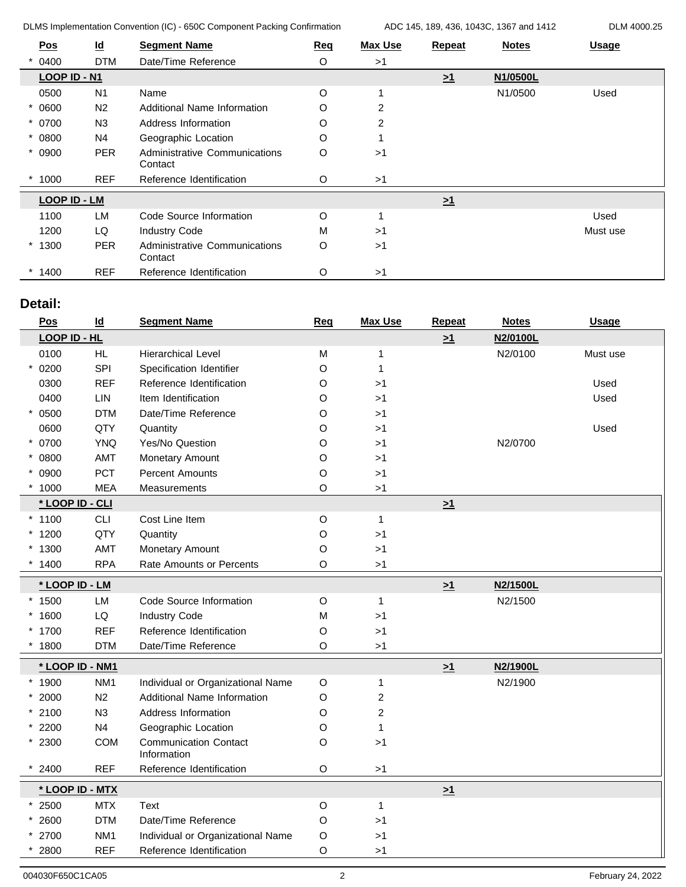DLMS Implementation Convention (IC) - 650C Component Packing Confirmation ADC 145, 189, 436, 1043C, 1367 and 1412 DLM 4000.25

| <b>Pos</b> |                     | $\underline{\mathsf{Id}}$ | <b>Segment Name</b>                             | <b>Req</b> | <b>Max Use</b> | <b>Repeat</b> | <b>Notes</b> | <b>Usage</b> |
|------------|---------------------|---------------------------|-------------------------------------------------|------------|----------------|---------------|--------------|--------------|
|            | 0400                | <b>DTM</b>                | Date/Time Reference                             | $\circ$    | >1             |               |              |              |
|            | LOOP ID - N1        |                           |                                                 |            |                | $\geq 1$      | N1/0500L     |              |
|            | 0500                | N <sub>1</sub>            | Name                                            | O          |                |               | N1/0500      | Used         |
| 0600       |                     | N <sub>2</sub>            | Additional Name Information                     | O          | $\overline{2}$ |               |              |              |
| $* 0700$   |                     | N <sub>3</sub>            | Address Information                             | O          | $\overline{2}$ |               |              |              |
| $* 0800$   |                     | N4                        | Geographic Location                             | O          |                |               |              |              |
| 0900       |                     | <b>PER</b>                | Administrative Communications<br>Contact        | $\circ$    | >1             |               |              |              |
| 1000       |                     | <b>REF</b>                | Reference Identification                        | O          | >1             |               |              |              |
|            | <b>LOOP ID - LM</b> |                           |                                                 |            |                | $\geq 1$      |              |              |
|            | 1100                | <b>LM</b>                 | Code Source Information                         | O          |                |               |              | Used         |
|            | 1200                | LQ                        | <b>Industry Code</b>                            | M          | >1             |               |              | Must use     |
| $*1300$    |                     | <b>PER</b>                | <b>Administrative Communications</b><br>Contact | O          | >1             |               |              |              |
| $*1400$    |                     | <b>REF</b>                | Reference Identification                        | O          | >1             |               |              |              |

# **Detail:**

| <b>Pos</b>      | $\underline{\mathsf{Id}}$ | <b>Segment Name</b>                         | <b>Req</b>  | <b>Max Use</b> | <b>Repeat</b> | <b>Notes</b> | <b>Usage</b> |
|-----------------|---------------------------|---------------------------------------------|-------------|----------------|---------------|--------------|--------------|
| LOOP ID - HL    |                           |                                             |             |                | $\geq 1$      | N2/0100L     |              |
| 0100            | <b>HL</b>                 | <b>Hierarchical Level</b>                   | M           | 1              |               | N2/0100      | Must use     |
| 0200            | SPI                       | Specification Identifier                    | O           | 1              |               |              |              |
| 0300            | <b>REF</b>                | Reference Identification                    | $\circ$     | >1             |               |              | Used         |
| 0400            | LIN                       | Item Identification                         | O           | >1             |               |              | Used         |
| 0500            | <b>DTM</b>                | Date/Time Reference                         | O           | >1             |               |              |              |
| 0600            | QTY                       | Quantity                                    | O           | >1             |               |              | Used         |
| * 0700          | <b>YNQ</b>                | Yes/No Question                             | O           | >1             |               | N2/0700      |              |
| * 0800          | AMT                       | Monetary Amount                             | O           | >1             |               |              |              |
| $* 0900$        | PCT                       | <b>Percent Amounts</b>                      | $\circ$     | >1             |               |              |              |
| $*1000$         | <b>MEA</b>                | Measurements                                | O           | >1             |               |              |              |
| * LOOP ID - CLI |                           |                                             |             |                | $\geq 1$      |              |              |
| $*1100$         | <b>CLI</b>                | Cost Line Item                              | $\mathsf O$ | $\mathbf{1}$   |               |              |              |
| $*1200$         | QTY                       | Quantity                                    | $\circ$     | >1             |               |              |              |
| $*1300$         | AMT                       | Monetary Amount                             | $\circ$     | >1             |               |              |              |
| $*1400$         | <b>RPA</b>                | Rate Amounts or Percents                    | $\circ$     | $>1$           |               |              |              |
| * LOOP ID - LM  |                           |                                             |             |                | $\geq 1$      | N2/1500L     |              |
| $*1500$         | LM                        | Code Source Information                     | $\circ$     | $\mathbf{1}$   |               | N2/1500      |              |
| $*1600$         | ${\sf LQ}$                | <b>Industry Code</b>                        | M           | >1             |               |              |              |
| * 1700          | <b>REF</b>                | Reference Identification                    | $\circ$     | $>1$           |               |              |              |
| 1800            | <b>DTM</b>                | Date/Time Reference                         | O           | >1             |               |              |              |
| * LOOP ID - NM1 |                           |                                             |             |                | $\geq 1$      | N2/1900L     |              |
| $*1900$         | NM <sub>1</sub>           | Individual or Organizational Name           | $\mathsf O$ | $\mathbf{1}$   |               | N2/1900      |              |
| $* 2000$        | N <sub>2</sub>            | <b>Additional Name Information</b>          | $\circ$     | $\overline{c}$ |               |              |              |
| $*2100$         | N3                        | Address Information                         | O           | $\overline{c}$ |               |              |              |
| $*2200$         | N <sub>4</sub>            | Geographic Location                         | $\circ$     | 1              |               |              |              |
| $*2300$         | <b>COM</b>                | <b>Communication Contact</b><br>Information | $\circ$     | >1             |               |              |              |
| 2400            | <b>REF</b>                | Reference Identification                    | $\mathsf O$ | $>1$           |               |              |              |
|                 | * LOOP ID - MTX           |                                             |             |                | $\geq 1$      |              |              |
| $*2500$         | <b>MTX</b>                | Text                                        | $\circ$     | $\mathbf{1}$   |               |              |              |
| $* 2600$        | <b>DTM</b>                | Date/Time Reference                         | $\mathsf O$ | >1             |               |              |              |
| 2700            | NM <sub>1</sub>           | Individual or Organizational Name           | $\circ$     | >1             |               |              |              |
| 2800            | <b>REF</b>                | Reference Identification                    | $\circ$     | >1             |               |              |              |
|                 |                           |                                             |             |                |               |              |              |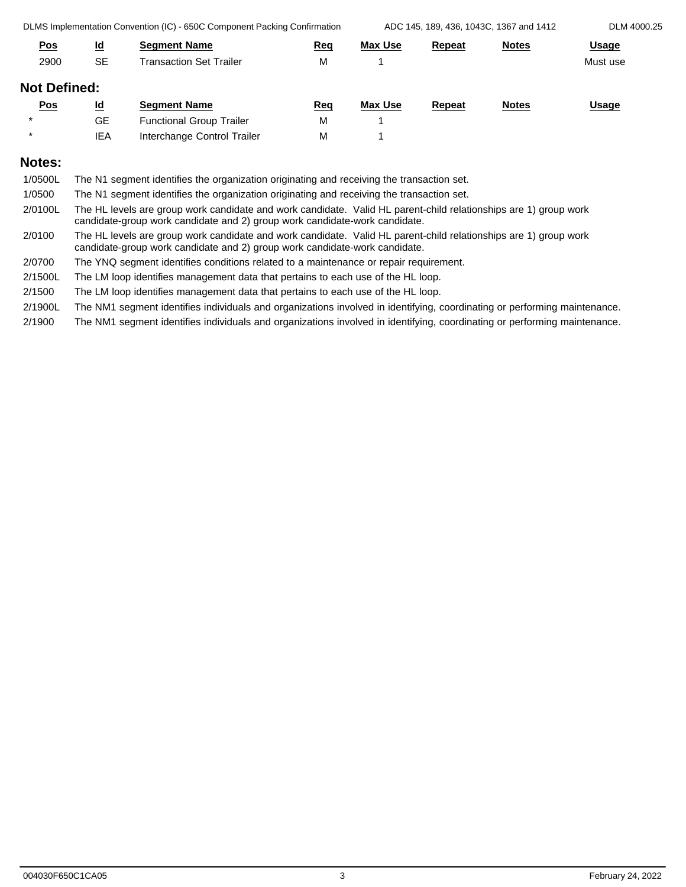DLMS Implementation Convention (IC) - 650C Component Packing Confirmation ADC 145, 189, 436, 1043C, 1367 and 1412 DLM 4000.25

| <u>Pos</u>          | $\underline{\mathsf{Id}}$ | <b>Segment Name</b>             | Req | <b>Max Use</b> | <b>Repeat</b> | <b>Notes</b> | <b>Usage</b> |
|---------------------|---------------------------|---------------------------------|-----|----------------|---------------|--------------|--------------|
| 2900                | <b>SE</b>                 | Transaction Set Trailer         | M   |                |               |              | Must use     |
| <b>Not Defined:</b> |                           |                                 |     |                |               |              |              |
| <u>Pos</u>          | $\underline{\mathsf{Id}}$ | <b>Segment Name</b>             | Req | Max Use        | <b>Repeat</b> | <b>Notes</b> | <b>Usage</b> |
| $\star$             | <b>GE</b>                 | <b>Functional Group Trailer</b> | M   |                |               |              |              |
| $\star$             | <b>IEA</b>                | Interchange Control Trailer     | M   |                |               |              |              |
|                     |                           |                                 |     |                |               |              |              |

# **Notes:**

| 1/0500L | The N1 segment identifies the organization originating and receiving the transaction set.                                                                                                      |
|---------|------------------------------------------------------------------------------------------------------------------------------------------------------------------------------------------------|
| 1/0500  | The N1 segment identifies the organization originating and receiving the transaction set.                                                                                                      |
| 2/0100L | The HL levels are group work candidate and work candidate. Valid HL parent-child relationships are 1) group work<br>candidate-group work candidate and 2) group work candidate-work candidate. |
| 2/0100  | The HL levels are group work candidate and work candidate. Valid HL parent-child relationships are 1) group work<br>candidate-group work candidate and 2) group work candidate-work candidate. |
| 2/0700  | The YNQ segment identifies conditions related to a maintenance or repair requirement.                                                                                                          |
| 2/1500L | The LM loop identifies management data that pertains to each use of the HL loop.                                                                                                               |
| 2/1500  | The LM loop identifies management data that pertains to each use of the HL loop.                                                                                                               |
|         |                                                                                                                                                                                                |

2/1900L The NM1 segment identifies individuals and organizations involved in identifying, coordinating or performing maintenance.

2/1900 The NM1 segment identifies individuals and organizations involved in identifying, coordinating or performing maintenance.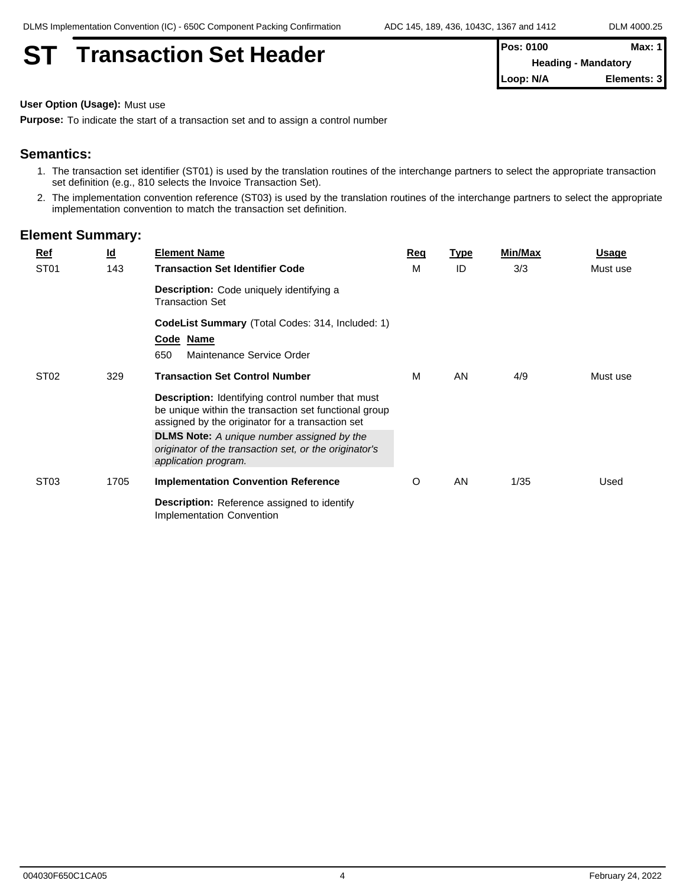# **ST Transaction Set Header**

| <b>IPos: 0100</b>          | Max: 1 I    |
|----------------------------|-------------|
| <b>Heading - Mandatory</b> |             |
| ∥Loop: N/A                 | Elements: 3 |

**User Option (Usage):** Must use

**Purpose:** To indicate the start of a transaction set and to assign a control number

# **Semantics:**

- 1. The transaction set identifier (ST01) is used by the translation routines of the interchange partners to select the appropriate transaction set definition (e.g., 810 selects the Invoice Transaction Set).
- 2. The implementation convention reference (ST03) is used by the translation routines of the interchange partners to select the appropriate implementation convention to match the transaction set definition.

| <b>Ref</b>       | $\underline{\mathsf{Id}}$ | <b>Element Name</b>                                                                                                                                                   | Req | <b>Type</b> | <b>Min/Max</b> | <b>Usage</b> |
|------------------|---------------------------|-----------------------------------------------------------------------------------------------------------------------------------------------------------------------|-----|-------------|----------------|--------------|
| ST <sub>01</sub> | 143                       | <b>Transaction Set Identifier Code</b>                                                                                                                                | M   | ID          | 3/3            | Must use     |
|                  |                           | <b>Description:</b> Code uniquely identifying a<br><b>Transaction Set</b>                                                                                             |     |             |                |              |
|                  |                           | <b>CodeList Summary</b> (Total Codes: 314, Included: 1)                                                                                                               |     |             |                |              |
|                  |                           | Code Name                                                                                                                                                             |     |             |                |              |
|                  |                           | 650<br>Maintenance Service Order                                                                                                                                      |     |             |                |              |
| ST <sub>02</sub> | 329                       | <b>Transaction Set Control Number</b>                                                                                                                                 | М   | AN          | 4/9            | Must use     |
|                  |                           | <b>Description:</b> Identifying control number that must<br>be unique within the transaction set functional group<br>assigned by the originator for a transaction set |     |             |                |              |
|                  |                           | <b>DLMS Note:</b> A unique number assigned by the<br>originator of the transaction set, or the originator's<br>application program.                                   |     |             |                |              |
| ST <sub>03</sub> | 1705                      | <b>Implementation Convention Reference</b>                                                                                                                            | O   | AN          | 1/35           | Used         |
|                  |                           | <b>Description:</b> Reference assigned to identify<br>Implementation Convention                                                                                       |     |             |                |              |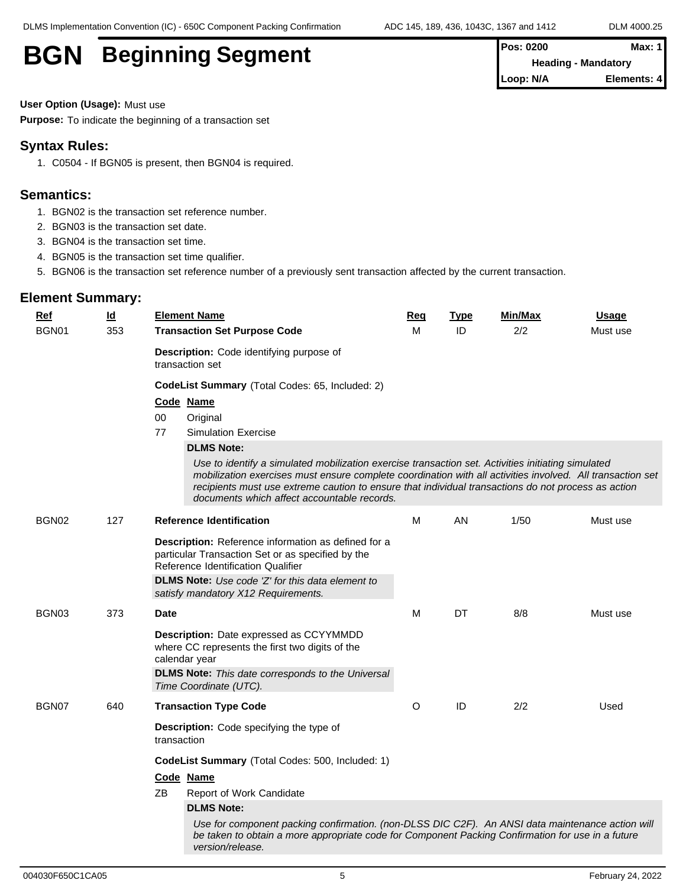| <b>BGN</b><br><b>Beginning Segment</b> | <b>Pos: 0200</b>           | Max: 1      |  |
|----------------------------------------|----------------------------|-------------|--|
|                                        | <b>Heading - Mandatory</b> |             |  |
|                                        | Loop: N/A                  | Elements: 4 |  |

**User Option (Usage):** Must use

**Purpose:** To indicate the beginning of a transaction set

#### **Syntax Rules:**

1. C0504 - If BGN05 is present, then BGN04 is required.

### **Semantics:**

- 1. BGN02 is the transaction set reference number.
- 2. BGN03 is the transaction set date.
- 3. BGN04 is the transaction set time.
- 4. BGN05 is the transaction set time qualifier.
- 5. BGN06 is the transaction set reference number of a previously sent transaction affected by the current transaction.

| <b>Ref</b> | $\underline{\mathsf{Id}}$ | <b>Element Name</b>                                                                                                                                                                                                                                                                                                                                                    | Req | <b>Type</b> | Min/Max | <b>Usage</b> |
|------------|---------------------------|------------------------------------------------------------------------------------------------------------------------------------------------------------------------------------------------------------------------------------------------------------------------------------------------------------------------------------------------------------------------|-----|-------------|---------|--------------|
| BGN01      | 353                       | <b>Transaction Set Purpose Code</b>                                                                                                                                                                                                                                                                                                                                    |     | ID          | 2/2     | Must use     |
|            |                           | Description: Code identifying purpose of<br>transaction set                                                                                                                                                                                                                                                                                                            |     |             |         |              |
|            |                           | CodeList Summary (Total Codes: 65, Included: 2)                                                                                                                                                                                                                                                                                                                        |     |             |         |              |
|            |                           | Code Name                                                                                                                                                                                                                                                                                                                                                              |     |             |         |              |
|            |                           | 00<br>Original                                                                                                                                                                                                                                                                                                                                                         |     |             |         |              |
|            |                           | 77<br><b>Simulation Exercise</b>                                                                                                                                                                                                                                                                                                                                       |     |             |         |              |
|            |                           | <b>DLMS Note:</b>                                                                                                                                                                                                                                                                                                                                                      |     |             |         |              |
|            |                           | Use to identify a simulated mobilization exercise transaction set. Activities initiating simulated<br>mobilization exercises must ensure complete coordination with all activities involved. All transaction set<br>recipients must use extreme caution to ensure that individual transactions do not process as action<br>documents which affect accountable records. |     |             |         |              |
| BGN02      | 127                       | <b>Reference Identification</b>                                                                                                                                                                                                                                                                                                                                        | м   | AN          | 1/50    | Must use     |
|            |                           | Description: Reference information as defined for a<br>particular Transaction Set or as specified by the<br>Reference Identification Qualifier<br>DLMS Note: Use code 'Z' for this data element to<br>satisfy mandatory X12 Requirements.                                                                                                                              |     |             |         |              |
| BGN03      | 373                       | <b>Date</b>                                                                                                                                                                                                                                                                                                                                                            | М   | DT          | 8/8     | Must use     |
|            |                           | Description: Date expressed as CCYYMMDD<br>where CC represents the first two digits of the<br>calendar year                                                                                                                                                                                                                                                            |     |             |         |              |
|            |                           | <b>DLMS Note:</b> This date corresponds to the Universal<br>Time Coordinate (UTC).                                                                                                                                                                                                                                                                                     |     |             |         |              |
| BGN07      | 640                       | <b>Transaction Type Code</b>                                                                                                                                                                                                                                                                                                                                           | O   | ID          | 2/2     | Used         |
|            |                           | Description: Code specifying the type of<br>transaction                                                                                                                                                                                                                                                                                                                |     |             |         |              |
|            |                           | CodeList Summary (Total Codes: 500, Included: 1)                                                                                                                                                                                                                                                                                                                       |     |             |         |              |
|            |                           | Code Name                                                                                                                                                                                                                                                                                                                                                              |     |             |         |              |
|            |                           | ZB<br>Report of Work Candidate                                                                                                                                                                                                                                                                                                                                         |     |             |         |              |
|            |                           | <b>DLMS Note:</b>                                                                                                                                                                                                                                                                                                                                                      |     |             |         |              |
|            |                           | Use for component packing confirmation. (non-DLSS DIC C2F). An ANSI data maintenance action will<br>be taken to obtain a more appropriate code for Component Packing Confirmation for use in a future<br>version/release.                                                                                                                                              |     |             |         |              |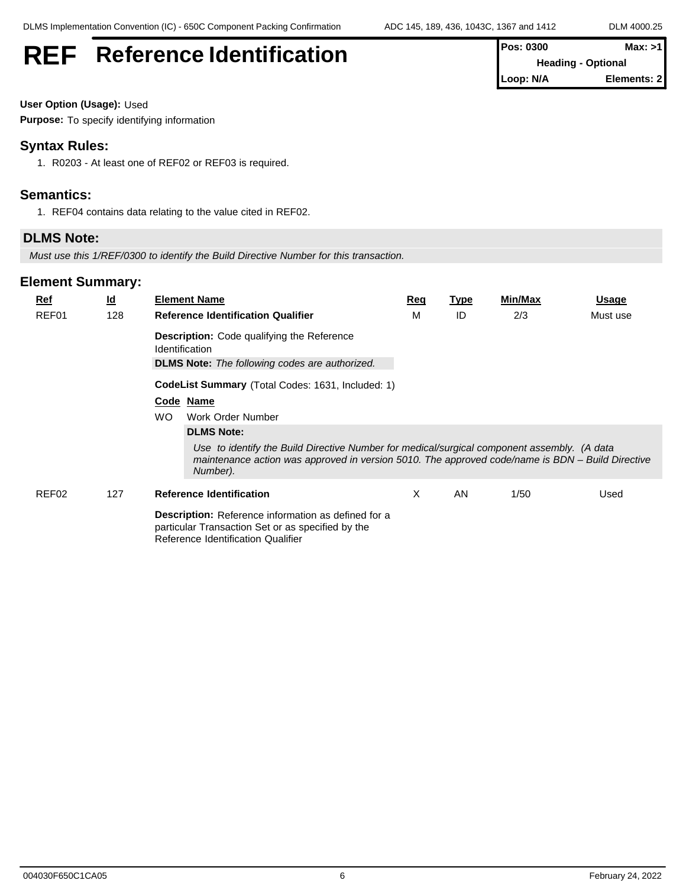# **REF** Reference Identification **Pos: 0300 Max: >1**

| TLUS. UJUU                | MAX. > H    |
|---------------------------|-------------|
| <b>Heading - Optional</b> |             |
| Loop: N/A                 | Elements: 2 |

**User Option (Usage):** Used

**Purpose:** To specify identifying information

# **Syntax Rules:**

1. R0203 - At least one of REF02 or REF03 is required.

### **Semantics:**

1. REF04 contains data relating to the value cited in REF02.

### **DLMS Note:**

*Must use this 1/REF/0300 to identify the Build Directive Number for this transaction.*

| $Ref$ | $\underline{\mathsf{Id}}$ | <b>Element Name</b>                                                                                                                                                                                         | Req | <b>Type</b> | Min/Max | <b>Usage</b> |
|-------|---------------------------|-------------------------------------------------------------------------------------------------------------------------------------------------------------------------------------------------------------|-----|-------------|---------|--------------|
| REF01 | 128                       | <b>Reference Identification Qualifier</b>                                                                                                                                                                   | М   | ID          | 2/3     | Must use     |
|       |                           | <b>Description:</b> Code qualifying the Reference<br><b>Identification</b>                                                                                                                                  |     |             |         |              |
|       |                           | <b>DLMS Note:</b> The following codes are authorized.                                                                                                                                                       |     |             |         |              |
|       |                           | CodeList Summary (Total Codes: 1631, Included: 1)                                                                                                                                                           |     |             |         |              |
|       |                           | Code Name                                                                                                                                                                                                   |     |             |         |              |
|       |                           | <b>WO</b><br>Work Order Number                                                                                                                                                                              |     |             |         |              |
|       |                           | <b>DLMS Note:</b>                                                                                                                                                                                           |     |             |         |              |
|       |                           | Use to identify the Build Directive Number for medical/surgical component assembly. (A data<br>maintenance action was approved in version 5010. The approved code/name is BDN – Build Directive<br>Number). |     |             |         |              |
| REF02 | 127                       | <b>Reference Identification</b>                                                                                                                                                                             | X   | AN          | 1/50    | Used         |
|       |                           | <b>Description:</b> Reference information as defined for a<br>particular Transaction Set or as specified by the<br>Reference Identification Qualifier                                                       |     |             |         |              |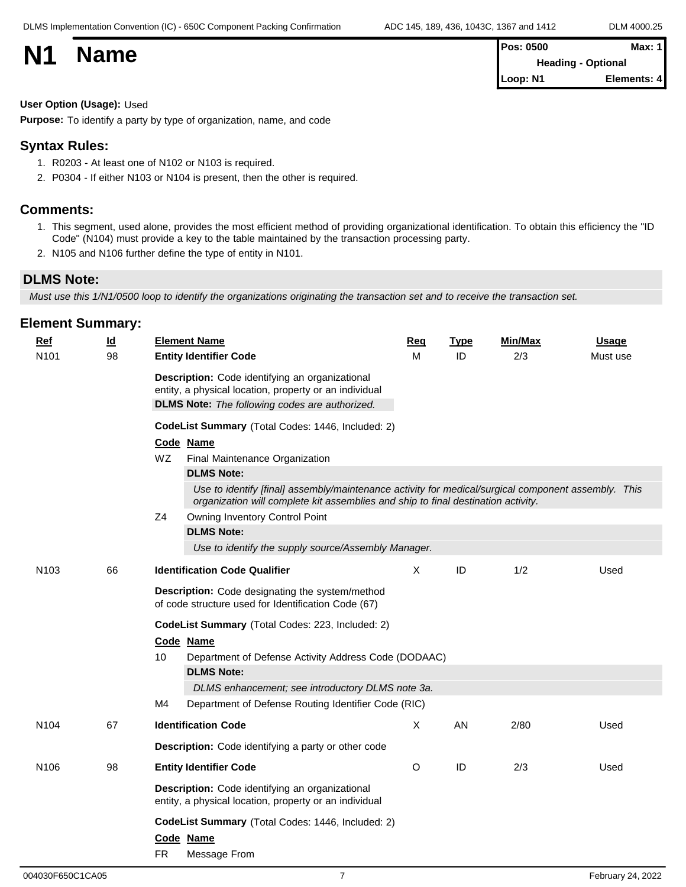|           |             | <b>Pos: 0500</b>          | <b>Max: 1</b> |  |
|-----------|-------------|---------------------------|---------------|--|
| <b>N1</b> | <b>Name</b> | <b>Heading - Optional</b> |               |  |
|           |             | Loop: N1                  | Elements: 4   |  |
|           |             |                           |               |  |

#### **User Option (Usage):** Used

**Purpose:** To identify a party by type of organization, name, and code

#### **Syntax Rules:**

- 1. R0203 At least one of N102 or N103 is required.
- 2. P0304 If either N103 or N104 is present, then the other is required.

### **Comments:**

- 1. This segment, used alone, provides the most efficient method of providing organizational identification. To obtain this efficiency the "ID Code" (N104) must provide a key to the table maintained by the transaction processing party.
- 2. N105 and N106 further define the type of entity in N101.

### **DLMS Note:**

*Must use this 1/N1/0500 loop to identify the organizations originating the transaction set and to receive the transaction set.*

| Ref              | $\underline{\mathsf{Id}}$ | <b>Element Name</b>                                                                                                                                                                      | Req     | <b>Type</b> | Min/Max | <u>Usage</u> |
|------------------|---------------------------|------------------------------------------------------------------------------------------------------------------------------------------------------------------------------------------|---------|-------------|---------|--------------|
| N101             | 98                        | <b>Entity Identifier Code</b>                                                                                                                                                            | м       | ID          | 2/3     | Must use     |
|                  |                           | Description: Code identifying an organizational<br>entity, a physical location, property or an individual<br><b>DLMS Note:</b> The following codes are authorized.                       |         |             |         |              |
|                  |                           | CodeList Summary (Total Codes: 1446, Included: 2)                                                                                                                                        |         |             |         |              |
|                  |                           | Code Name                                                                                                                                                                                |         |             |         |              |
|                  |                           | WZ.<br>Final Maintenance Organization                                                                                                                                                    |         |             |         |              |
|                  |                           | <b>DLMS Note:</b>                                                                                                                                                                        |         |             |         |              |
|                  |                           | Use to identify [final] assembly/maintenance activity for medical/surgical component assembly. This<br>organization will complete kit assemblies and ship to final destination activity. |         |             |         |              |
|                  |                           | Z <sub>4</sub><br>Owning Inventory Control Point                                                                                                                                         |         |             |         |              |
|                  |                           | <b>DLMS Note:</b>                                                                                                                                                                        |         |             |         |              |
|                  |                           | Use to identify the supply source/Assembly Manager.                                                                                                                                      |         |             |         |              |
| N <sub>103</sub> | 66                        | <b>Identification Code Qualifier</b>                                                                                                                                                     | X       | ID          | 1/2     | Used         |
|                  |                           | Description: Code designating the system/method<br>of code structure used for Identification Code (67)                                                                                   |         |             |         |              |
|                  |                           | CodeList Summary (Total Codes: 223, Included: 2)                                                                                                                                         |         |             |         |              |
|                  |                           | Code Name                                                                                                                                                                                |         |             |         |              |
|                  |                           | 10<br>Department of Defense Activity Address Code (DODAAC)                                                                                                                               |         |             |         |              |
|                  |                           | <b>DLMS Note:</b>                                                                                                                                                                        |         |             |         |              |
|                  |                           | DLMS enhancement; see introductory DLMS note 3a.                                                                                                                                         |         |             |         |              |
|                  |                           | M4<br>Department of Defense Routing Identifier Code (RIC)                                                                                                                                |         |             |         |              |
| N <sub>104</sub> | 67                        | <b>Identification Code</b>                                                                                                                                                               | X       | AN.         | 2/80    | Used         |
|                  |                           | <b>Description:</b> Code identifying a party or other code                                                                                                                               |         |             |         |              |
| N <sub>106</sub> | 98                        | <b>Entity Identifier Code</b>                                                                                                                                                            | $\circ$ | ID          | 2/3     | Used         |
|                  |                           | Description: Code identifying an organizational<br>entity, a physical location, property or an individual                                                                                |         |             |         |              |
|                  |                           | CodeList Summary (Total Codes: 1446, Included: 2)                                                                                                                                        |         |             |         |              |
|                  |                           | Code Name                                                                                                                                                                                |         |             |         |              |
|                  |                           | <b>FR</b><br>Message From                                                                                                                                                                |         |             |         |              |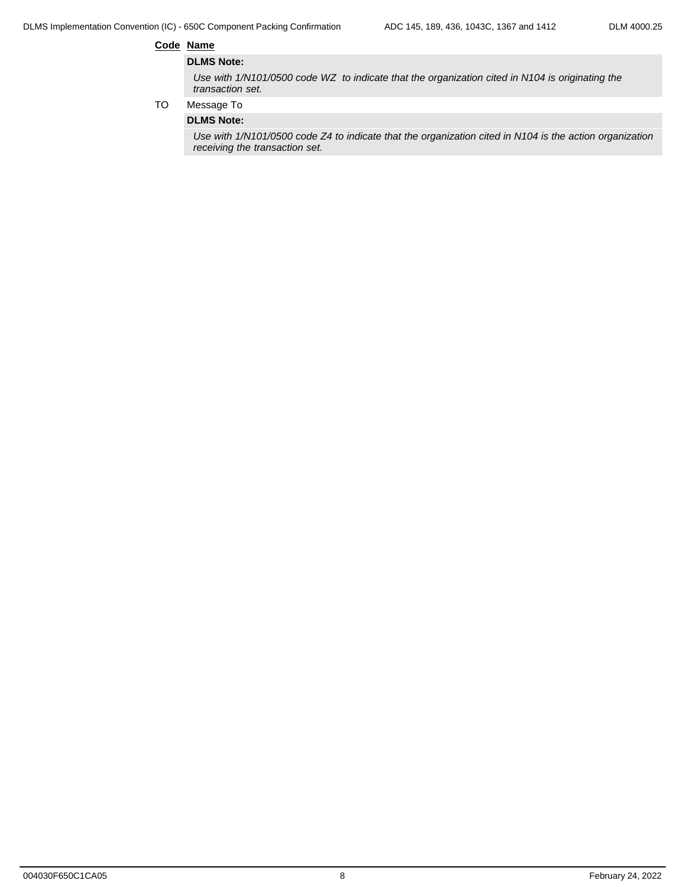DLMS Implementation Convention (IC) - 650C Component Packing Confirmation ADC 145, 189, 436, 1043C, 1367 and 1412 DLM 4000.25

#### **Code Name**

#### **DLMS Note:**

*Use with 1/N101/0500 code WZ to indicate that the organization cited in N104 is originating the transaction set.*

TO Message To

#### **DLMS Note:**

*Use with 1/N101/0500 code Z4 to indicate that the organization cited in N104 is the action organization receiving the transaction set.*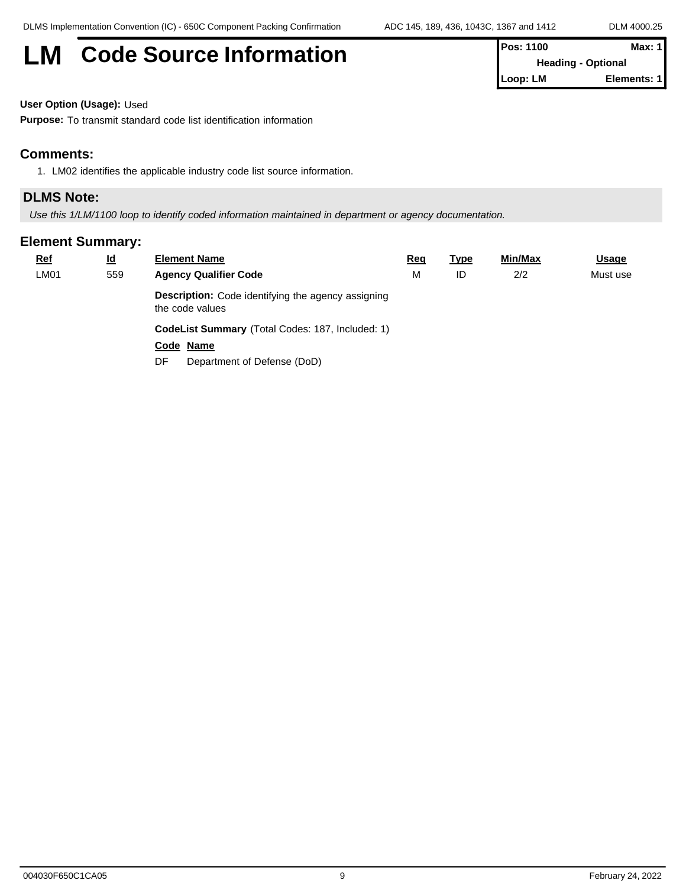# **LM** Code Source Information

| <b>Pos: 1100</b>          | Max: 1      |  |
|---------------------------|-------------|--|
| <b>Heading - Optional</b> |             |  |
| 'Loop: LM                 | Elements: 1 |  |

**User Option (Usage):** Used

**Purpose:** To transmit standard code list identification information

### **Comments:**

1. LM02 identifies the applicable industry code list source information.

# **DLMS Note:**

*Use this 1/LM/1100 loop to identify coded information maintained in department or agency documentation.*

| $Ref$ | $\underline{\mathsf{Id}}$ | <b>Element Name</b>                                                   | <u>Req</u> | <u>Type</u> | Min/Max | <b>Usage</b> |
|-------|---------------------------|-----------------------------------------------------------------------|------------|-------------|---------|--------------|
| LM01  | 559                       | <b>Agency Qualifier Code</b>                                          | M          | ID          | 2/2     | Must use     |
|       |                           | Description: Code identifying the agency assigning<br>the code values |            |             |         |              |
|       |                           | <b>CodeList Summary</b> (Total Codes: 187, Included: 1)               |            |             |         |              |
|       |                           | Code Name                                                             |            |             |         |              |
|       |                           | Department of Defense (DoD)<br>DF                                     |            |             |         |              |
|       |                           |                                                                       |            |             |         |              |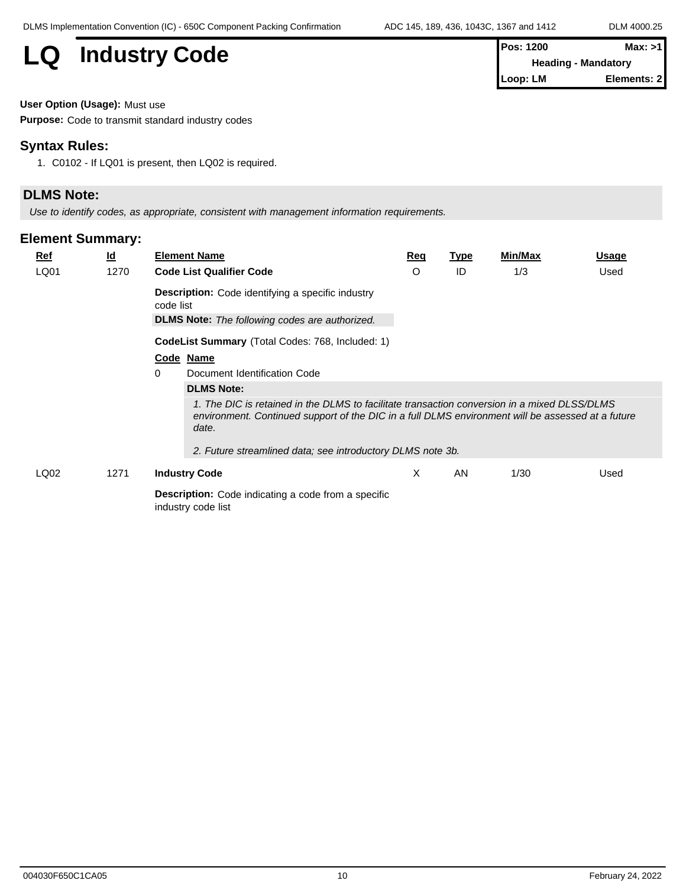# **LQ** Industry Code

| <b>IPos: 1200</b>          | Max: >11     |
|----------------------------|--------------|
| <b>Heading - Mandatory</b> |              |
| <b>I</b> Loop: LM          | Elements: 21 |

**User Option (Usage):** Must use

**Purpose:** Code to transmit standard industry codes

# **Syntax Rules:**

1. C0102 - If LQ01 is present, then LQ02 is required.

### **DLMS Note:**

*Use to identify codes, as appropriate, consistent with management information requirements.*

| $Ref$            | <u>ld</u> | <b>Element Name</b>                                                                                                                                                                                        | Req | <b>Type</b> | Min/Max | <b>Usage</b> |
|------------------|-----------|------------------------------------------------------------------------------------------------------------------------------------------------------------------------------------------------------------|-----|-------------|---------|--------------|
| LQ01             | 1270      | <b>Code List Qualifier Code</b>                                                                                                                                                                            | O   | ID          | 1/3     | Used         |
|                  |           | <b>Description:</b> Code identifying a specific industry<br>code list                                                                                                                                      |     |             |         |              |
|                  |           | <b>DLMS Note:</b> The following codes are authorized.                                                                                                                                                      |     |             |         |              |
|                  |           | CodeList Summary (Total Codes: 768, Included: 1)                                                                                                                                                           |     |             |         |              |
|                  |           | Code Name                                                                                                                                                                                                  |     |             |         |              |
|                  |           | 0<br>Document Identification Code                                                                                                                                                                          |     |             |         |              |
|                  |           | <b>DLMS Note:</b>                                                                                                                                                                                          |     |             |         |              |
|                  |           | 1. The DIC is retained in the DLMS to facilitate transaction conversion in a mixed DLSS/DLMS<br>environment. Continued support of the DIC in a full DLMS environment will be assessed at a future<br>date. |     |             |         |              |
|                  |           | 2. Future streamlined data; see introductory DLMS note 3b.                                                                                                                                                 |     |             |         |              |
| LQ <sub>02</sub> | 1271      | <b>Industry Code</b>                                                                                                                                                                                       | X   | AN          | 1/30    | Used         |
|                  |           | <b>Description:</b> Code indicating a code from a specific<br>industry code list                                                                                                                           |     |             |         |              |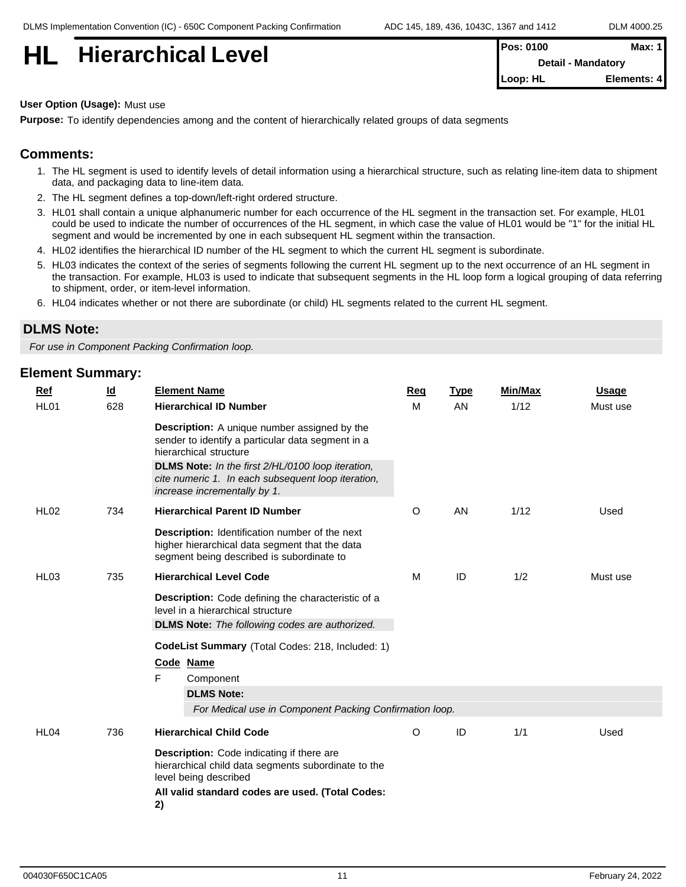# **HI Hierarchical Level**

| <b>Pos: 0100</b>          | Max: 1      |
|---------------------------|-------------|
| <b>Detail - Mandatory</b> |             |
| <b>ILoop: HL</b>          | Elements: 4 |

**User Option (Usage):** Must use

**Purpose:** To identify dependencies among and the content of hierarchically related groups of data segments

# **Comments:**

- 1. The HL segment is used to identify levels of detail information using a hierarchical structure, such as relating line-item data to shipment data, and packaging data to line-item data.
- 2. The HL segment defines a top-down/left-right ordered structure.
- 3. HL01 shall contain a unique alphanumeric number for each occurrence of the HL segment in the transaction set. For example, HL01 could be used to indicate the number of occurrences of the HL segment, in which case the value of HL01 would be "1" for the initial HL segment and would be incremented by one in each subsequent HL segment within the transaction.
- 4. HL02 identifies the hierarchical ID number of the HL segment to which the current HL segment is subordinate.
- 5. HL03 indicates the context of the series of segments following the current HL segment up to the next occurrence of an HL segment in the transaction. For example, HL03 is used to indicate that subsequent segments in the HL loop form a logical grouping of data referring to shipment, order, or item-level information.
- 6. HL04 indicates whether or not there are subordinate (or child) HL segments related to the current HL segment.

### **DLMS Note:**

*For use in Component Packing Confirmation loop.*

| <b>Ref</b>       | $\underline{\mathsf{Id}}$ | <b>Element Name</b>                                                                                                                           | Req | <b>Type</b> | <b>Min/Max</b> | <b>Usage</b> |
|------------------|---------------------------|-----------------------------------------------------------------------------------------------------------------------------------------------|-----|-------------|----------------|--------------|
| HL01             | 628                       | <b>Hierarchical ID Number</b>                                                                                                                 | M   | <b>AN</b>   | 1/12           | Must use     |
|                  |                           | <b>Description:</b> A unique number assigned by the<br>sender to identify a particular data segment in a<br>hierarchical structure            |     |             |                |              |
|                  |                           | DLMS Note: In the first 2/HL/0100 loop iteration,<br>cite numeric 1. In each subsequent loop iteration,<br>increase incrementally by 1.       |     |             |                |              |
| <b>HL02</b>      | 734                       | <b>Hierarchical Parent ID Number</b>                                                                                                          | O   | AN          | 1/12           | Used         |
|                  |                           | Description: Identification number of the next<br>higher hierarchical data segment that the data<br>segment being described is subordinate to |     |             |                |              |
| HL <sub>03</sub> | 735                       | <b>Hierarchical Level Code</b>                                                                                                                | M   | ID          | 1/2            | Must use     |
|                  |                           | Description: Code defining the characteristic of a<br>level in a hierarchical structure                                                       |     |             |                |              |
|                  |                           | <b>DLMS Note:</b> The following codes are authorized.                                                                                         |     |             |                |              |
|                  |                           | CodeList Summary (Total Codes: 218, Included: 1)                                                                                              |     |             |                |              |
|                  |                           | Code Name                                                                                                                                     |     |             |                |              |
|                  |                           | F<br>Component<br><b>DLMS Note:</b>                                                                                                           |     |             |                |              |
|                  |                           | For Medical use in Component Packing Confirmation loop.                                                                                       |     |             |                |              |
| HL04             | 736                       | <b>Hierarchical Child Code</b>                                                                                                                | O   | ID          | 1/1            | Used         |
|                  |                           | Description: Code indicating if there are<br>hierarchical child data segments subordinate to the<br>level being described                     |     |             |                |              |
|                  |                           | All valid standard codes are used. (Total Codes:<br>2)                                                                                        |     |             |                |              |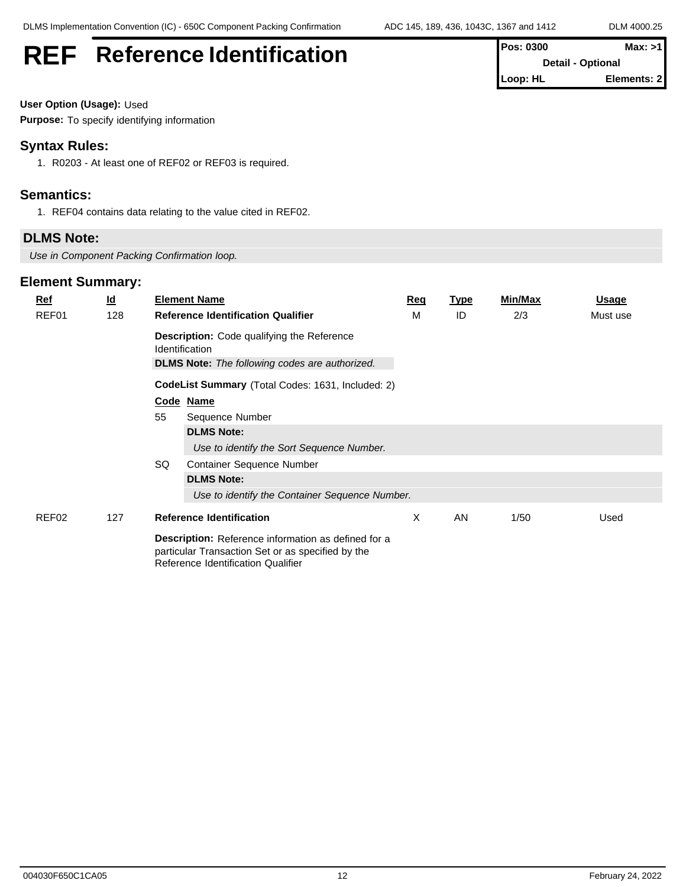**Detail - Optional Loop: HL Elements: 2**

# **REF** Reference Identification **Pos: 0300** Max: >1

# **User Option (Usage):** Used

**Purpose:** To specify identifying information

# **Syntax Rules:**

1. R0203 - At least one of REF02 or REF03 is required.

# **Semantics:**

1. REF04 contains data relating to the value cited in REF02.

# **DLMS Note:**

*Use in Component Packing Confirmation loop.*

| $Ref$ | $\underline{\mathsf{Id}}$ |                                                                     | <b>Element Name</b>                                                                                                                            | Req | <b>Type</b> | Min/Max | <b>Usage</b> |
|-------|---------------------------|---------------------------------------------------------------------|------------------------------------------------------------------------------------------------------------------------------------------------|-----|-------------|---------|--------------|
| REF01 | 128                       |                                                                     | <b>Reference Identification Qualifier</b>                                                                                                      | М   | ID          | 2/3     | Must use     |
|       |                           | <b>Description:</b> Code qualifying the Reference<br>Identification |                                                                                                                                                |     |             |         |              |
|       |                           |                                                                     | <b>DLMS Note:</b> The following codes are authorized.                                                                                          |     |             |         |              |
|       |                           |                                                                     | <b>CodeList Summary</b> (Total Codes: 1631, Included: 2)                                                                                       |     |             |         |              |
|       |                           |                                                                     | Code Name                                                                                                                                      |     |             |         |              |
|       |                           | 55                                                                  | Sequence Number                                                                                                                                |     |             |         |              |
|       |                           |                                                                     | <b>DLMS Note:</b>                                                                                                                              |     |             |         |              |
|       |                           |                                                                     | Use to identify the Sort Sequence Number.                                                                                                      |     |             |         |              |
|       |                           | SQ                                                                  | <b>Container Sequence Number</b>                                                                                                               |     |             |         |              |
|       |                           |                                                                     | <b>DLMS Note:</b>                                                                                                                              |     |             |         |              |
|       |                           |                                                                     | Use to identify the Container Sequence Number.                                                                                                 |     |             |         |              |
| REF02 | 127                       |                                                                     | <b>Reference Identification</b>                                                                                                                | X   | AN          | 1/50    | Used         |
|       |                           |                                                                     | Description: Reference information as defined for a<br>particular Transaction Set or as specified by the<br>Reference Identification Qualifier |     |             |         |              |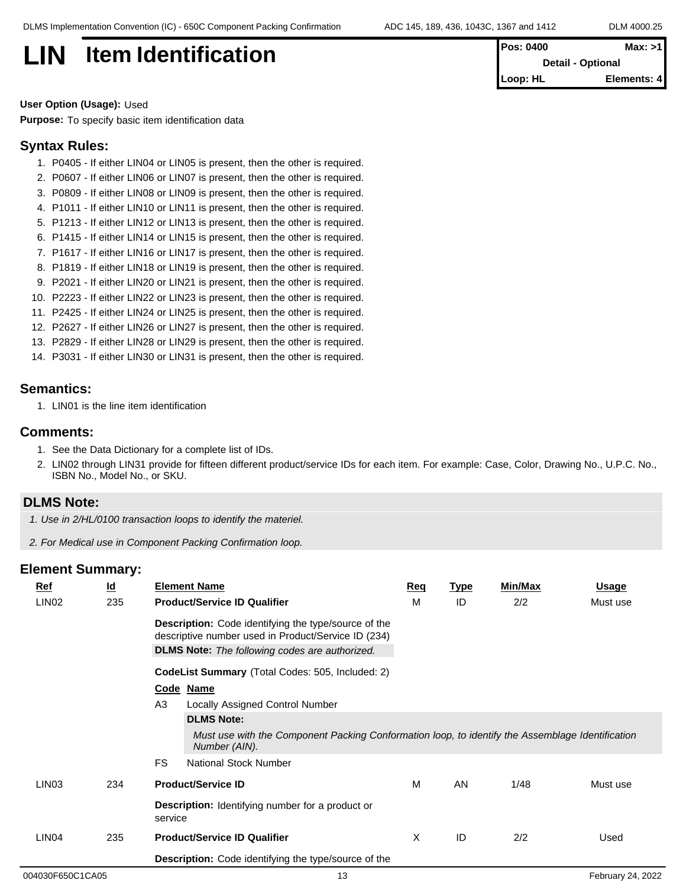**LIN Item Identification Pos: 0400 Max: >1 Detail - Optional Loop: HL Elements: 4**

**User Option (Usage):** Used

**Purpose:** To specify basic item identification data

#### **Syntax Rules:**

- 1. P0405 If either LIN04 or LIN05 is present, then the other is required.
- 2. P0607 If either LIN06 or LIN07 is present, then the other is required.
- 3. P0809 If either LIN08 or LIN09 is present, then the other is required.
- 4. P1011 If either LIN10 or LIN11 is present, then the other is required.
- 5. P1213 If either LIN12 or LIN13 is present, then the other is required.
- 6. P1415 If either LIN14 or LIN15 is present, then the other is required.
- 7. P1617 If either LIN16 or LIN17 is present, then the other is required.
- 8. P1819 If either LIN18 or LIN19 is present, then the other is required.
- 9. P2021 If either LIN20 or LIN21 is present, then the other is required.
- 10. P2223 If either LIN22 or LIN23 is present, then the other is required.
- 11. P2425 If either LIN24 or LIN25 is present, then the other is required.
- 12. P2627 If either LIN26 or LIN27 is present, then the other is required.
- 13. P2829 If either LIN28 or LIN29 is present, then the other is required.
- 14. P3031 If either LIN30 or LIN31 is present, then the other is required.

### **Semantics:**

1. LIN01 is the line item identification

#### **Comments:**

- 1. See the Data Dictionary for a complete list of IDs.
- 2. LIN02 through LIN31 provide for fifteen different product/service IDs for each item. For example: Case, Color, Drawing No., U.P.C. No., ISBN No., Model No., or SKU.

#### **DLMS Note:**

- *1. Use in 2/HL/0100 transaction loops to identify the materiel.*
- *2. For Medical use in Component Packing Confirmation loop.*

|  | <b>Ref</b>               | $\underline{\mathsf{Id}}$                                   |                                                                    | <b>Element Name</b>                                                                                                | <b>Req</b> | <b>Type</b> | <b>Min/Max</b> | <u>Usage</u> |
|--|--------------------------|-------------------------------------------------------------|--------------------------------------------------------------------|--------------------------------------------------------------------------------------------------------------------|------------|-------------|----------------|--------------|
|  | LIN <sub>02</sub>        | 235                                                         |                                                                    | <b>Product/Service ID Qualifier</b>                                                                                | M          | ID          | 2/2            | Must use     |
|  |                          |                                                             |                                                                    | <b>Description:</b> Code identifying the type/source of the<br>descriptive number used in Product/Service ID (234) |            |             |                |              |
|  |                          |                                                             |                                                                    | <b>DLMS Note:</b> The following codes are authorized.                                                              |            |             |                |              |
|  |                          |                                                             |                                                                    | CodeList Summary (Total Codes: 505, Included: 2)                                                                   |            |             |                |              |
|  |                          |                                                             |                                                                    | Code Name                                                                                                          |            |             |                |              |
|  |                          |                                                             | A <sub>3</sub>                                                     | Locally Assigned Control Number                                                                                    |            |             |                |              |
|  |                          |                                                             |                                                                    | <b>DLMS Note:</b>                                                                                                  |            |             |                |              |
|  |                          |                                                             |                                                                    | Must use with the Component Packing Conformation loop, to identify the Assemblage Identification<br>Number (AIN).  |            |             |                |              |
|  |                          |                                                             | <b>FS</b>                                                          | <b>National Stock Number</b>                                                                                       |            |             |                |              |
|  | LIN <sub>03</sub><br>234 |                                                             |                                                                    | <b>Product/Service ID</b>                                                                                          | M          | AN          | 1/48           | Must use     |
|  |                          |                                                             | <b>Description:</b> Identifying number for a product or<br>service |                                                                                                                    |            |             |                |              |
|  | LIN <sub>04</sub>        | 235                                                         | <b>Product/Service ID Qualifier</b>                                |                                                                                                                    | X          | ID          | 2/2            | Used         |
|  |                          | <b>Description:</b> Code identifying the type/source of the |                                                                    |                                                                                                                    |            |             |                |              |
|  |                          |                                                             |                                                                    |                                                                                                                    |            |             |                |              |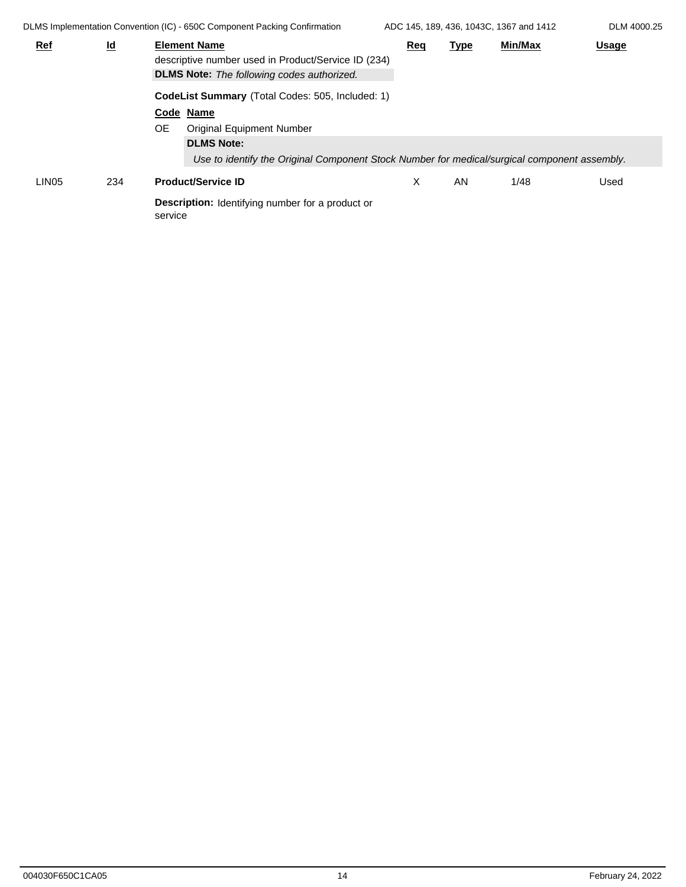DLMS Implementation Convention (IC) - 650C Component Packing Confirmation ADC 145, 189, 436, 1043C, 1367 and 1412 DLM 4000.25 **Ref Id Element Name Req Type Min/Max Usage** descriptive number used in Product/Service ID (234) **DLMS Note:** *The following codes authorized.* **CodeList Summary** (Total Codes: 505, Included: 1) **Code Name** OE Original Equipment Number **DLMS Note:** *Use to identify the Original Component Stock Number for medical/surgical component assembly.* LIN05 234 **Product/Service ID Description:** Identifying number for a product or service X AN 1/48 Used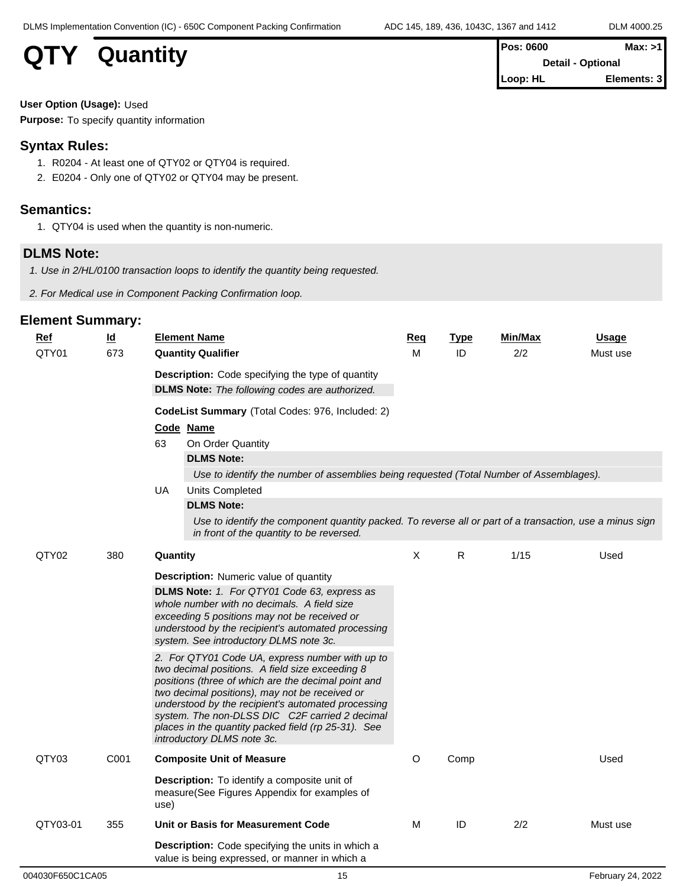# **QTY** Quantity

| <b>Pos: 0600</b>         | Max: >1     |  |
|--------------------------|-------------|--|
| <b>Detail - Optional</b> |             |  |
| Loop: HL                 | Elements: 3 |  |

**User Option (Usage):** Used

**Purpose:** To specify quantity information

### **Syntax Rules:**

- 1. R0204 At least one of QTY02 or QTY04 is required.
- 2. E0204 Only one of QTY02 or QTY04 may be present.

# **Semantics:**

1. QTY04 is used when the quantity is non-numeric.

# **DLMS Note:**

*1. Use in 2/HL/0100 transaction loops to identify the quantity being requested.*

*2. For Medical use in Component Packing Confirmation loop.*

| м<br>ID<br>2/2<br>QTY01<br>673<br><b>Quantity Qualifier</b><br>Must use<br><b>Description:</b> Code specifying the type of quantity<br><b>DLMS Note:</b> The following codes are authorized.<br>CodeList Summary (Total Codes: 976, Included: 2)<br>Code Name<br>63<br>On Order Quantity<br><b>DLMS Note:</b><br>Use to identify the number of assemblies being requested (Total Number of Assemblages).<br><b>UA</b><br>Units Completed<br><b>DLMS Note:</b><br>Use to identify the component quantity packed. To reverse all or part of a transaction, use a minus sign<br>in front of the quantity to be reversed.<br>$\mathsf{X}$<br>R.<br>1/15<br>QTY02<br>380<br>Used<br>Quantity<br><b>Description:</b> Numeric value of quantity<br>DLMS Note: 1. For QTY01 Code 63, express as<br>whole number with no decimals. A field size<br>exceeding 5 positions may not be received or<br>understood by the recipient's automated processing<br>system. See introductory DLMS note 3c.<br>2. For QTY01 Code UA, express number with up to<br>two decimal positions. A field size exceeding 8<br>positions (three of which are the decimal point and<br>two decimal positions), may not be received or<br>understood by the recipient's automated processing<br>system. The non-DLSS DIC C2F carried 2 decimal<br>places in the quantity packed field (rp 25-31). See<br>introductory DLMS note 3c.<br>QTY03<br>C001<br><b>Composite Unit of Measure</b><br>$\circ$<br>Comp<br>Used<br><b>Description:</b> To identify a composite unit of<br>measure(See Figures Appendix for examples of<br>use) | <b>Ref</b> | $\underline{\mathsf{Id}}$ | <b>Element Name</b> |  | Req | <b>Type</b> | Min/Max | <b>Usage</b> |
|---------------------------------------------------------------------------------------------------------------------------------------------------------------------------------------------------------------------------------------------------------------------------------------------------------------------------------------------------------------------------------------------------------------------------------------------------------------------------------------------------------------------------------------------------------------------------------------------------------------------------------------------------------------------------------------------------------------------------------------------------------------------------------------------------------------------------------------------------------------------------------------------------------------------------------------------------------------------------------------------------------------------------------------------------------------------------------------------------------------------------------------------------------------------------------------------------------------------------------------------------------------------------------------------------------------------------------------------------------------------------------------------------------------------------------------------------------------------------------------------------------------------------------------------------------------------------------------------------|------------|---------------------------|---------------------|--|-----|-------------|---------|--------------|
|                                                                                                                                                                                                                                                                                                                                                                                                                                                                                                                                                                                                                                                                                                                                                                                                                                                                                                                                                                                                                                                                                                                                                                                                                                                                                                                                                                                                                                                                                                                                                                                                   |            |                           |                     |  |     |             |         |              |
|                                                                                                                                                                                                                                                                                                                                                                                                                                                                                                                                                                                                                                                                                                                                                                                                                                                                                                                                                                                                                                                                                                                                                                                                                                                                                                                                                                                                                                                                                                                                                                                                   |            |                           |                     |  |     |             |         |              |
|                                                                                                                                                                                                                                                                                                                                                                                                                                                                                                                                                                                                                                                                                                                                                                                                                                                                                                                                                                                                                                                                                                                                                                                                                                                                                                                                                                                                                                                                                                                                                                                                   |            |                           |                     |  |     |             |         |              |
|                                                                                                                                                                                                                                                                                                                                                                                                                                                                                                                                                                                                                                                                                                                                                                                                                                                                                                                                                                                                                                                                                                                                                                                                                                                                                                                                                                                                                                                                                                                                                                                                   |            |                           |                     |  |     |             |         |              |
|                                                                                                                                                                                                                                                                                                                                                                                                                                                                                                                                                                                                                                                                                                                                                                                                                                                                                                                                                                                                                                                                                                                                                                                                                                                                                                                                                                                                                                                                                                                                                                                                   |            |                           |                     |  |     |             |         |              |
|                                                                                                                                                                                                                                                                                                                                                                                                                                                                                                                                                                                                                                                                                                                                                                                                                                                                                                                                                                                                                                                                                                                                                                                                                                                                                                                                                                                                                                                                                                                                                                                                   |            |                           |                     |  |     |             |         |              |
|                                                                                                                                                                                                                                                                                                                                                                                                                                                                                                                                                                                                                                                                                                                                                                                                                                                                                                                                                                                                                                                                                                                                                                                                                                                                                                                                                                                                                                                                                                                                                                                                   |            |                           |                     |  |     |             |         |              |
|                                                                                                                                                                                                                                                                                                                                                                                                                                                                                                                                                                                                                                                                                                                                                                                                                                                                                                                                                                                                                                                                                                                                                                                                                                                                                                                                                                                                                                                                                                                                                                                                   |            |                           |                     |  |     |             |         |              |
|                                                                                                                                                                                                                                                                                                                                                                                                                                                                                                                                                                                                                                                                                                                                                                                                                                                                                                                                                                                                                                                                                                                                                                                                                                                                                                                                                                                                                                                                                                                                                                                                   |            |                           |                     |  |     |             |         |              |
|                                                                                                                                                                                                                                                                                                                                                                                                                                                                                                                                                                                                                                                                                                                                                                                                                                                                                                                                                                                                                                                                                                                                                                                                                                                                                                                                                                                                                                                                                                                                                                                                   |            |                           |                     |  |     |             |         |              |
|                                                                                                                                                                                                                                                                                                                                                                                                                                                                                                                                                                                                                                                                                                                                                                                                                                                                                                                                                                                                                                                                                                                                                                                                                                                                                                                                                                                                                                                                                                                                                                                                   |            |                           |                     |  |     |             |         |              |
|                                                                                                                                                                                                                                                                                                                                                                                                                                                                                                                                                                                                                                                                                                                                                                                                                                                                                                                                                                                                                                                                                                                                                                                                                                                                                                                                                                                                                                                                                                                                                                                                   |            |                           |                     |  |     |             |         |              |
|                                                                                                                                                                                                                                                                                                                                                                                                                                                                                                                                                                                                                                                                                                                                                                                                                                                                                                                                                                                                                                                                                                                                                                                                                                                                                                                                                                                                                                                                                                                                                                                                   |            |                           |                     |  |     |             |         |              |
|                                                                                                                                                                                                                                                                                                                                                                                                                                                                                                                                                                                                                                                                                                                                                                                                                                                                                                                                                                                                                                                                                                                                                                                                                                                                                                                                                                                                                                                                                                                                                                                                   |            |                           |                     |  |     |             |         |              |
|                                                                                                                                                                                                                                                                                                                                                                                                                                                                                                                                                                                                                                                                                                                                                                                                                                                                                                                                                                                                                                                                                                                                                                                                                                                                                                                                                                                                                                                                                                                                                                                                   |            |                           |                     |  |     |             |         |              |
|                                                                                                                                                                                                                                                                                                                                                                                                                                                                                                                                                                                                                                                                                                                                                                                                                                                                                                                                                                                                                                                                                                                                                                                                                                                                                                                                                                                                                                                                                                                                                                                                   |            |                           |                     |  |     |             |         |              |
|                                                                                                                                                                                                                                                                                                                                                                                                                                                                                                                                                                                                                                                                                                                                                                                                                                                                                                                                                                                                                                                                                                                                                                                                                                                                                                                                                                                                                                                                                                                                                                                                   |            |                           |                     |  |     |             |         |              |
| QTY03-01<br>Unit or Basis for Measurement Code<br>М<br>ID<br>2/2<br>355<br>Must use                                                                                                                                                                                                                                                                                                                                                                                                                                                                                                                                                                                                                                                                                                                                                                                                                                                                                                                                                                                                                                                                                                                                                                                                                                                                                                                                                                                                                                                                                                               |            |                           |                     |  |     |             |         |              |
| <b>Description:</b> Code specifying the units in which a<br>value is being expressed, or manner in which a                                                                                                                                                                                                                                                                                                                                                                                                                                                                                                                                                                                                                                                                                                                                                                                                                                                                                                                                                                                                                                                                                                                                                                                                                                                                                                                                                                                                                                                                                        |            |                           |                     |  |     |             |         |              |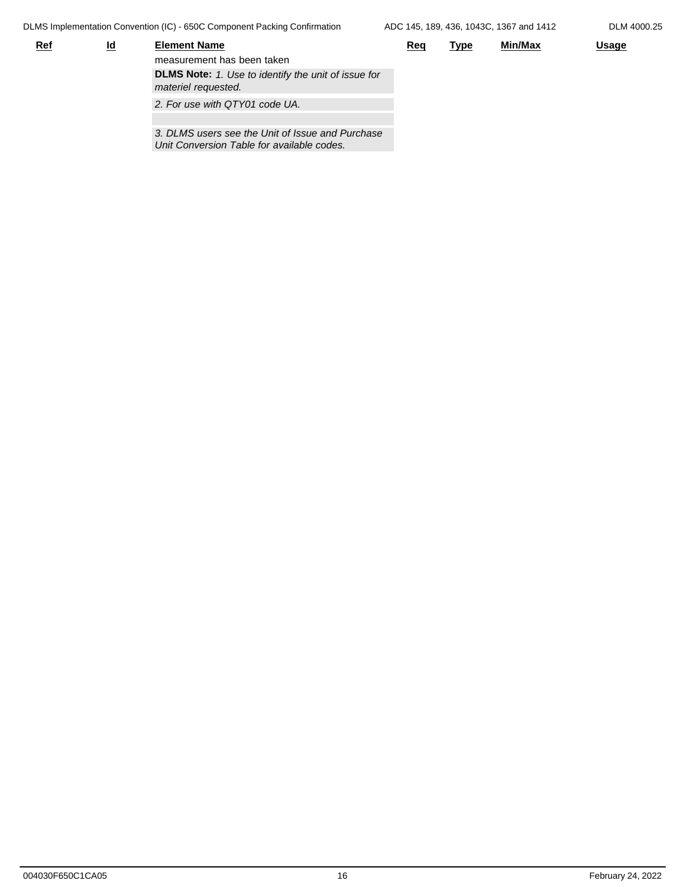DLMS Implementation Convention (IC) - 650C Component Packing Confirmation

*Unit Conversion Table for available codes.* 

| <b>Ref</b> | <u>ld</u> | <b>Element Name</b>                                                               | <u>Req</u> | <u>Type</u> | Min/Max | <u>Usage</u> |
|------------|-----------|-----------------------------------------------------------------------------------|------------|-------------|---------|--------------|
|            |           | measurement has been taken                                                        |            |             |         |              |
|            |           | <b>DLMS Note:</b> 1. Use to identify the unit of issue for<br>materiel requested. |            |             |         |              |
|            |           | 2. For use with QTY01 code UA.                                                    |            |             |         |              |
|            |           |                                                                                   |            |             |         |              |
|            |           | 3. DLMS users see the Unit of Issue and Purchase                                  |            |             |         |              |